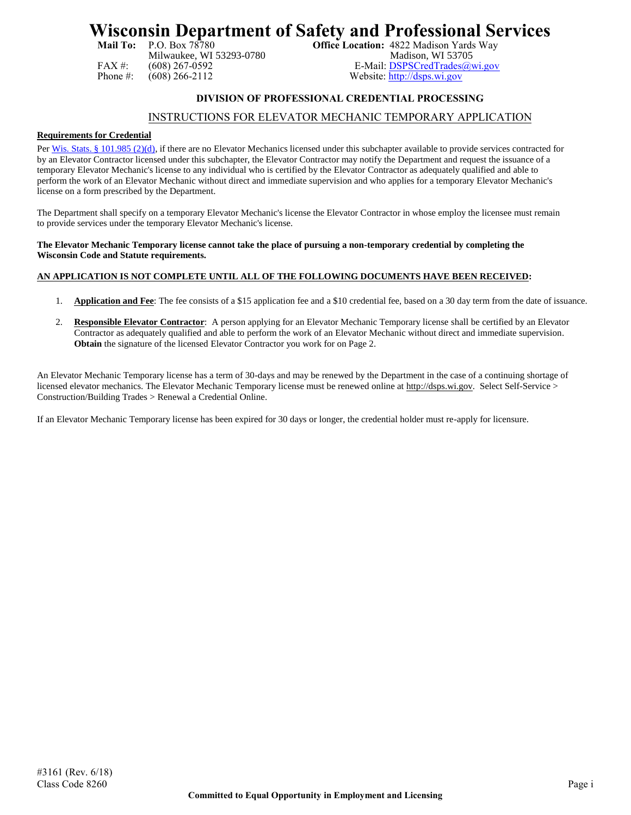# **Wisconsin Department of Safety and Professional Services**<br>Mail To: P.O. Box 78780<br>office Location: 4822 Madison Yards Way

Milwaukee, WI 53293-0780<br>(608) 267-0592

**Office Location:** 4822 Madison Yards Way<br>Madison, WI 53705 FAX #: (608) 267-0592 <br>
Phone #: (608) 266-2112 <br>
Website: http://dsps.wi.gov Website: [http://dsps.wi.gov](http://dsps.wi.gov/)

# **DIVISION OF PROFESSIONAL CREDENTIAL PROCESSING**

# INSTRUCTIONS FOR ELEVATOR MECHANIC TEMPORARY APPLICATION

# **Requirements for Credential**

Pe[r Wis. Stats. § 101.985 \(2\)\(d\),](http://docs.legis.wisconsin.gov/document/statutes/101.985(2)(d)) if there are no Elevator Mechanics licensed under this subchapter available to provide services contracted for by an Elevator Contractor licensed under this subchapter, the Elevator Contractor may notify the Department and request the issuance of a temporary Elevator Mechanic's license to any individual who is certified by the Elevator Contractor as adequately qualified and able to perform the work of an Elevator Mechanic without direct and immediate supervision and who applies for a temporary Elevator Mechanic's license on a form prescribed by the Department.

The Department shall specify on a temporary Elevator Mechanic's license the Elevator Contractor in whose employ the licensee must remain to provide services under the temporary Elevator Mechanic's license.

### **The Elevator Mechanic Temporary license cannot take the place of pursuing a non-temporary credential by completing the Wisconsin Code and Statute requirements.**

# **AN APPLICATION IS NOT COMPLETE UNTIL ALL OF THE FOLLOWING DOCUMENTS HAVE BEEN RECEIVED:**

- 1. **Application and Fee**: The fee consists of a \$15 application fee and a \$10 credential fee, based on a 30 day term from the date of issuance.
- 2. **Responsible Elevator Contractor**: A person applying for an Elevator Mechanic Temporary license shall be certified by an Elevator Contractor as adequately qualified and able to perform the work of an Elevator Mechanic without direct and immediate supervision. **Obtain** the signature of the licensed Elevator Contractor you work for on Page 2.

An Elevator Mechanic Temporary license has a term of 30-days and may be renewed by the Department in the case of a continuing shortage of licensed elevator mechanics. The Elevator Mechanic Temporary license must be renewed online at [http://dsps.wi.gov.](http://dsps.wi.gov/) Select Self-Service > Construction/Building Trades > Renewal a Credential Online.

If an Elevator Mechanic Temporary license has been expired for 30 days or longer, the credential holder must re-apply for licensure.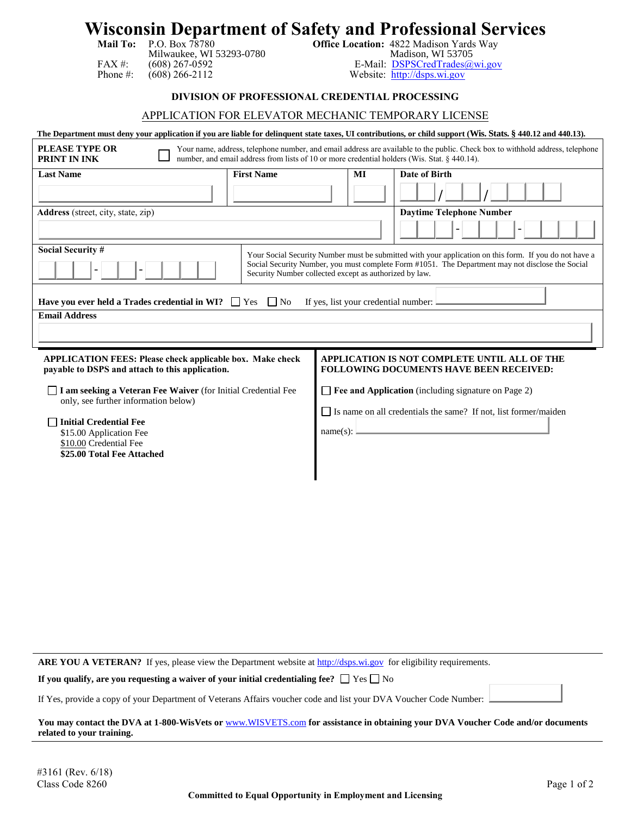# **Wisconsin Department of Safety and Professional Services**<br>Mail To: P.O. Box 78780<br>Office Location: 4822 Madison Yards Way

FAX #: (608) 267-0592 E-Mail: <u>[DSPSCredTrades@wi.gov](mailto:DSPSCredTrades@wi.gov)</u><br>Phone #: (608) 266-2112 Website: http://dsps.wi.gov

**Mail To:** P.O. Box 78780 **Office Location:** 4822 Madison Yards Way Milwaukee, WI 53293-0780 Madison, WI 53705<br>(608) 267-0592 E-Mail: <u>DSPSCredTrades@</u>

Website: [http://dsps.wi.gov](http://dsps.wi.gov/)

# **DIVISION OF PROFESSIONAL CREDENTIAL PROCESSING**

# APPLICATION FOR ELEVATOR MECHANIC TEMPORARY LICENSE

# **The Department must deny your application if you are liable for delinquent state taxes, UI contributions, or child support (Wis. Stats. § 440.12 and 440.13).**

| PLEASE TYPE OR<br>Your name, address, telephone number, and email address are available to the public. Check box to withhold address, telephone<br>number, and email address from lists of 10 or more credential holders (Wis. Stat. § 440.14).<br>PRINT IN INK                                  |                   |                                                                                                                                       |    |                                 |  |  |  |  |  |  |
|--------------------------------------------------------------------------------------------------------------------------------------------------------------------------------------------------------------------------------------------------------------------------------------------------|-------------------|---------------------------------------------------------------------------------------------------------------------------------------|----|---------------------------------|--|--|--|--|--|--|
| <b>Last Name</b>                                                                                                                                                                                                                                                                                 | <b>First Name</b> |                                                                                                                                       | MI | Date of Birth                   |  |  |  |  |  |  |
|                                                                                                                                                                                                                                                                                                  |                   |                                                                                                                                       |    |                                 |  |  |  |  |  |  |
| Address (street, city, state, zip)                                                                                                                                                                                                                                                               |                   |                                                                                                                                       |    | <b>Daytime Telephone Number</b> |  |  |  |  |  |  |
|                                                                                                                                                                                                                                                                                                  |                   |                                                                                                                                       |    |                                 |  |  |  |  |  |  |
| <b>Social Security #</b><br>Your Social Security Number must be submitted with your application on this form. If you do not have a<br>Social Security Number, you must complete Form #1051. The Department may not disclose the Social<br>Security Number collected except as authorized by law. |                   |                                                                                                                                       |    |                                 |  |  |  |  |  |  |
| Have you ever held a Trades credential in WI? $\Box$ Yes $\Box$ No<br>If yes, list your credential number: $\Box$                                                                                                                                                                                |                   |                                                                                                                                       |    |                                 |  |  |  |  |  |  |
| <b>Email Address</b>                                                                                                                                                                                                                                                                             |                   |                                                                                                                                       |    |                                 |  |  |  |  |  |  |
| <b>APPLICATION FEES: Please check applicable box. Make check</b><br>payable to DSPS and attach to this application.                                                                                                                                                                              |                   | APPLICATION IS NOT COMPLETE UNTIL ALL OF THE<br><b>FOLLOWING DOCUMENTS HAVE BEEN RECEIVED:</b>                                        |    |                                 |  |  |  |  |  |  |
| I am seeking a Veteran Fee Waiver (for Initial Credential Fee<br>only, see further information below)<br><b>Initial Credential Fee</b><br>\$15.00 Application Fee<br>\$10.00 Credential Fee                                                                                                      |                   | Fee and Application (including signature on Page 2)<br>Is name on all credentials the same? If not, list former/maiden<br>$name(s)$ : |    |                                 |  |  |  |  |  |  |
| \$25.00 Total Fee Attached                                                                                                                                                                                                                                                                       |                   |                                                                                                                                       |    |                                 |  |  |  |  |  |  |

ARE YOU A VETERAN? If yes, please view the Department website at [http://dsps.wi.gov](http://dsps.wi.gov/) for eligibility requirements.

**If you qualify, are you requesting a waiver of your initial credentialing fee?**  $\Box$  Yes  $\Box$  No

If Yes, provide a copy of your Department of Veterans Affairs voucher code and list your DVA Voucher Code Number:



**You may contact the DVA at 1-800-WisVets or** [www.WISVETS.com](http://www.wisvets.com/) **for assistance in obtaining your DVA Voucher Code and/or documents related to your training.**